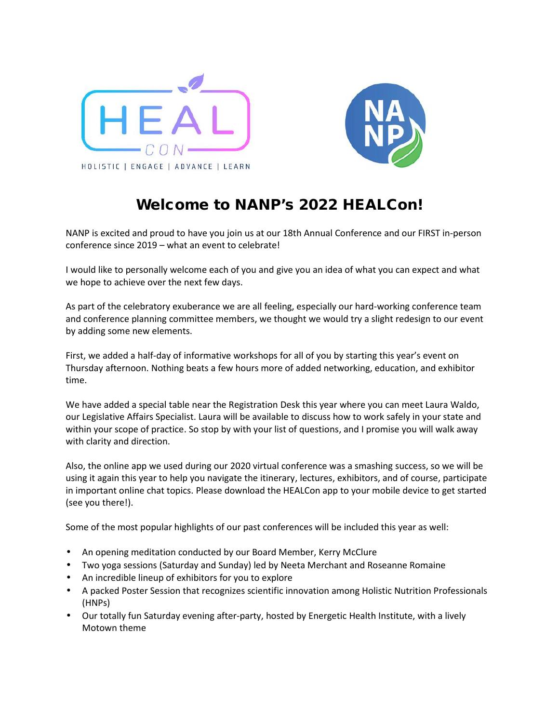



## **Welcome to NANP's 2022 HEALCon!**

NANP is excited and proud to have you join us at our 18th Annual Conference and our FIRST in-person conference since 2019 – what an event to celebrate!

I would like to personally welcome each of you and give you an idea of what you can expect and what we hope to achieve over the next few days.

As part of the celebratory exuberance we are all feeling, especially our hard-working conference team and conference planning committee members, we thought we would try a slight redesign to our event by adding some new elements.

First, we added a half-day of informative workshops for all of you by starting this year's event on Thursday afternoon. Nothing beats a few hours more of added networking, education, and exhibitor time.

We have added a special table near the Registration Desk this year where you can meet Laura Waldo, our Legislative Affairs Specialist. Laura will be available to discuss how to work safely in your state and within your scope of practice. So stop by with your list of questions, and I promise you will walk away with clarity and direction.

Also, the online app we used during our 2020 virtual conference was a smashing success, so we will be using it again this year to help you navigate the itinerary, lectures, exhibitors, and of course, participate in important online chat topics. Please download the HEALCon app to your mobile device to get started (see you there!).

Some of the most popular highlights of our past conferences will be included this year as well:

- An opening meditation conducted by our Board Member, Kerry McClure
- Two yoga sessions (Saturday and Sunday) led by Neeta Merchant and Roseanne Romaine
- An incredible lineup of exhibitors for you to explore
- A packed Poster Session that recognizes scientific innovation among Holistic Nutrition Professionals (HNPs)
- Our totally fun Saturday evening after-party, hosted by Energetic Health Institute, with a lively Motown theme